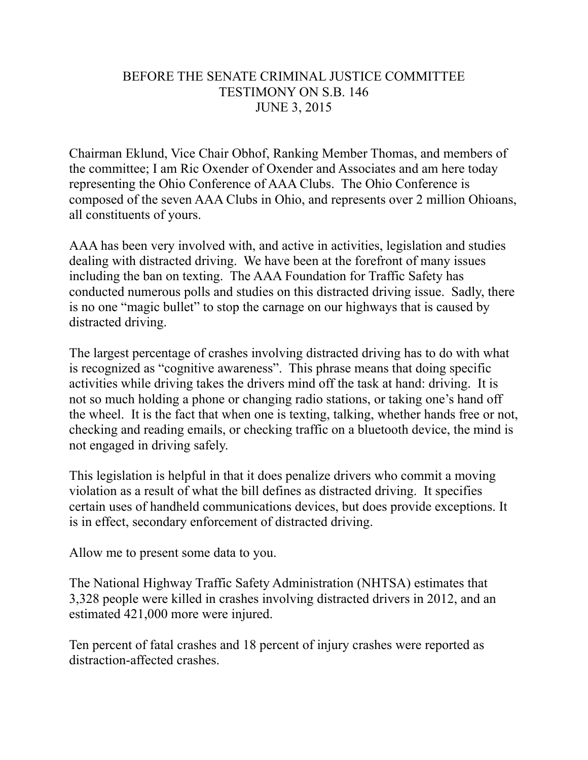## BEFORE THE SENATE CRIMINAL JUSTICE COMMITTEE TESTIMONY ON S.B. 146 JUNE 3, 2015

Chairman Eklund, Vice Chair Obhof, Ranking Member Thomas, and members of the committee; I am Ric Oxender of Oxender and Associates and am here today representing the Ohio Conference of AAA Clubs. The Ohio Conference is composed of the seven AAA Clubs in Ohio, and represents over 2 million Ohioans, all constituents of yours.

AAA has been very involved with, and active in activities, legislation and studies dealing with distracted driving. We have been at the forefront of many issues including the ban on texting. The AAA Foundation for Traffic Safety has conducted numerous polls and studies on this distracted driving issue. Sadly, there is no one "magic bullet" to stop the carnage on our highways that is caused by distracted driving.

The largest percentage of crashes involving distracted driving has to do with what is recognized as "cognitive awareness". This phrase means that doing specific activities while driving takes the drivers mind off the task at hand: driving. It is not so much holding a phone or changing radio stations, or taking one's hand off the wheel. It is the fact that when one is texting, talking, whether hands free or not, checking and reading emails, or checking traffic on a bluetooth device, the mind is not engaged in driving safely.

This legislation is helpful in that it does penalize drivers who commit a moving violation as a result of what the bill defines as distracted driving. It specifies certain uses of handheld communications devices, but does provide exceptions. It is in effect, secondary enforcement of distracted driving.

Allow me to present some data to you.

The National Highway Traffic Safety Administration (NHTSA) estimates that 3,328 people were killed in crashes involving distracted drivers in 2012, and an estimated 421,000 more were injured.

Ten percent of fatal crashes and 18 percent of injury crashes were reported as distraction-affected crashes.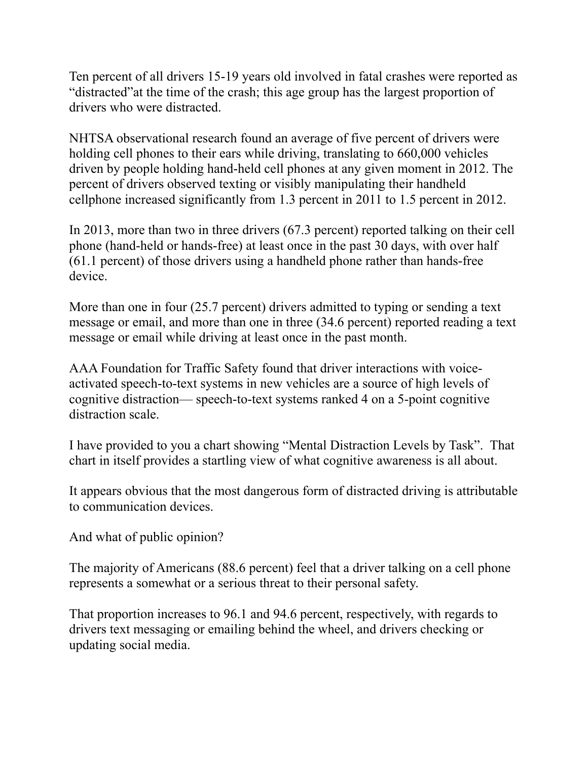Ten percent of all drivers 15-19 years old involved in fatal crashes were reported as "distracted"at the time of the crash; this age group has the largest proportion of drivers who were distracted.

NHTSA observational research found an average of five percent of drivers were holding cell phones to their ears while driving, translating to 660,000 vehicles driven by people holding hand-held cell phones at any given moment in 2012. The percent of drivers observed texting or visibly manipulating their handheld cellphone increased significantly from 1.3 percent in 2011 to 1.5 percent in 2012.

In 2013, more than two in three drivers (67.3 percent) reported talking on their cell phone (hand-held or hands-free) at least once in the past 30 days, with over half (61.1 percent) of those drivers using a handheld phone rather than hands-free device.

More than one in four (25.7 percent) drivers admitted to typing or sending a text message or email, and more than one in three (34.6 percent) reported reading a text message or email while driving at least once in the past month.

AAA Foundation for Traffic Safety found that driver interactions with voiceactivated speech-to-text systems in new vehicles are a source of high levels of cognitive distraction— speech-to-text systems ranked 4 on a 5-point cognitive distraction scale.

I have provided to you a chart showing "Mental Distraction Levels by Task". That chart in itself provides a startling view of what cognitive awareness is all about.

It appears obvious that the most dangerous form of distracted driving is attributable to communication devices.

And what of public opinion?

The majority of Americans (88.6 percent) feel that a driver talking on a cell phone represents a somewhat or a serious threat to their personal safety.

That proportion increases to 96.1 and 94.6 percent, respectively, with regards to drivers text messaging or emailing behind the wheel, and drivers checking or updating social media.